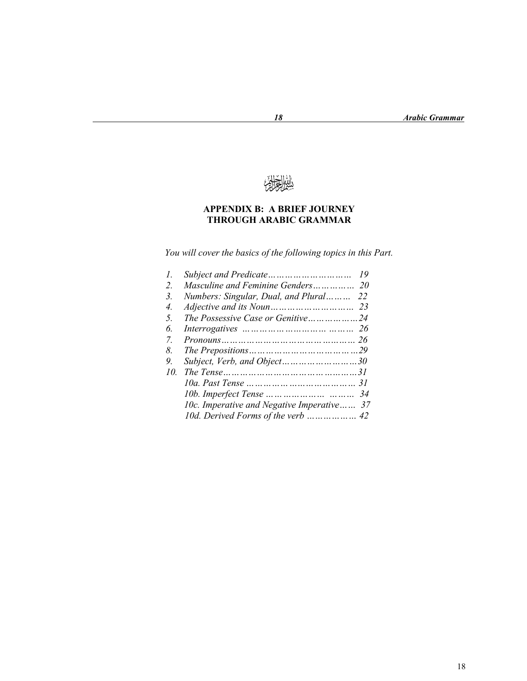

### **APPENDIX B: A BRIEF JOURNEY THROUGH ARABIC GRAMMAR**

*You will cover the basics of the following topics in this Part.*

| $\mathcal{I}$ . |                                         | 19 |
|-----------------|-----------------------------------------|----|
| 2.              | Masculine and Feminine Genders          | 20 |
| 3.              | Numbers: Singular, Dual, and Plural     | 22 |
| 4.              |                                         | 23 |
| 5.              |                                         |    |
| 6.              |                                         | 26 |
| 7.              |                                         | 26 |
| 8.              |                                         |    |
| 9.              |                                         |    |
| 10.             |                                         |    |
|                 |                                         |    |
|                 | 10b. Imperfect Tense         34         |    |
|                 | 10c. Imperative and Negative Imperative | 37 |
|                 | 10d. Derived Forms of the verb  42      |    |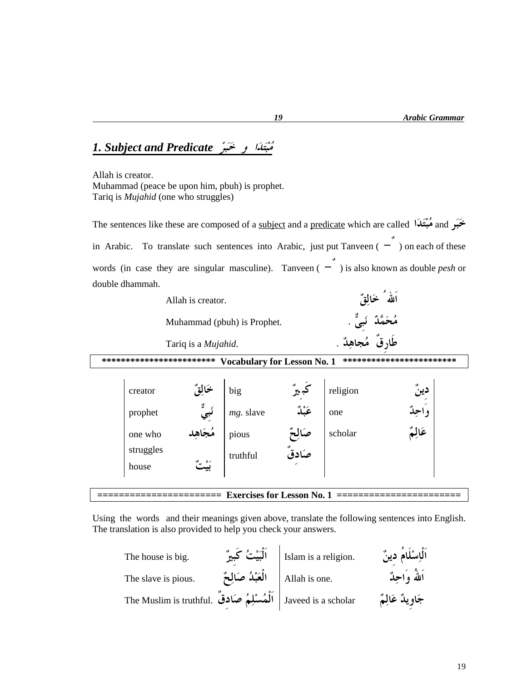#### *1. Subject and Predicate* --مَتتكك

Allah is creator. Muhammad (peace be upon him, pbuh) is prophet. Tariq is *Mujahid* (one who struggles)

خَبَو and مُبتَنَاكُما and a <u>predicate</u> which are called أَخْبَو and a a <u>redicate</u> which are called in Arabic. To translate such sentences into Arabic, just put Tanveen  $($   $)$  on each of these words (in case they are singular masculine). Tanveen ( $-$ ) is also known as double *pesh* or double dhammah.

| Allah is creator.           | اَللهُ خَالَةٌ ُ    |
|-----------------------------|---------------------|
| Muhammad (pbuh) is Prophet. | مُحَمَّلٌ نَبِيٌّ . |
| Tariq is a <i>Mujahid</i> . | طَارِقٌ مُجاهِدٌ .  |

**\*\*\*\*\*\*\*\*\*\*\*\*\*\*\*\*\*\*\*\*\*\*\*\* Vocabulary for Lesson No. 1 \*\*\*\*\*\*\*\*\*\*\*\*\*\*\*\*\*\*\*\*\*\*\*\***

| creator                           | خَالِقٌ  | big       | کہ پر   | religion | 28<br>دين |  |  |
|-----------------------------------|----------|-----------|---------|----------|-----------|--|--|
| prophet                           | ئبي      | mg. slave | عَبْدٌ  | one      | وأحلأ     |  |  |
| one who                           | مُجَاهِد | pious     | صَالِحٌ | scholar  | عَالِمٌ   |  |  |
| struggles                         |          | truthful  | صكادق   |          |           |  |  |
| house                             |          |           |         |          |           |  |  |
|                                   |          |           |         |          |           |  |  |
| <b>Exercises for Lesson No. 1</b> |          |           |         |          |           |  |  |

Using the words and their meanings given above, translate the following sentences into English. The translation is also provided to help you check your answers.

The house is big. # Islam is a religion. The slave is pious. 
 -\$# Allah is one. The Muslim is truthful. "%&# Javeed is a scholar الاِسْلَام دِينٌ الله واحِلٌ جَاوِيدٌ عَالِمٌ

19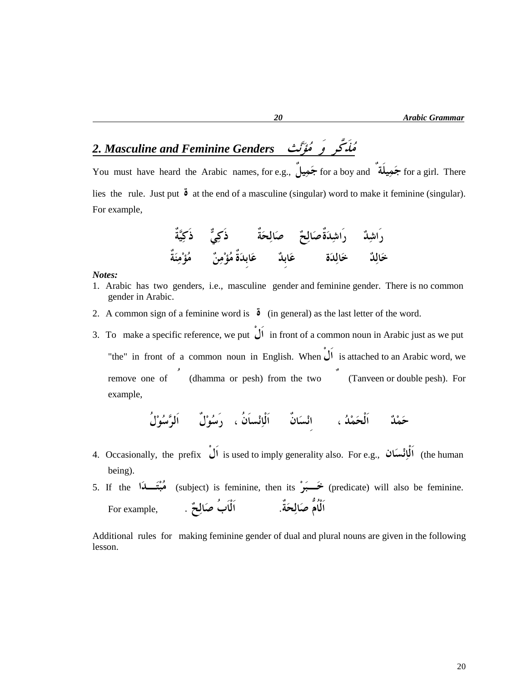# *2. Masculine and Feminine Genders*  
 --

You must have heard the Arabic names, for e.g., جَمِيلٌ for a boy and \*جَمِيلُة \* for a girl. There lies the rule. Just put  $\ddot{\phi}$  at the end of a masculine (singular) word to make it feminine (singular). For example,

\*, - \*,
 
 -- -- \*,./ !/ - - -
-

*Notes:*

- 1. Arabic has two genders, i.e., masculine gender and feminine gender. There is no common gender in Arabic.
- 2. A common sign of a feminine word is  $\dot{\bullet}$  (in general) as the last letter of the word.
- 3. To make a specific reference, we put  $\overrightarrow{u}$  in front of a common noun in Arabic just as we put "the" in front of a common noun in English. When  $\bigcup_{i=1}^{\infty}$  is attached to an Arabic word, we remove one of (dhamma or pesh) from the two (Tanveen or double pesh). For example,

 ' ' &# & -# -(

- 4. Occasionally, the prefix  $i \in \mathbb{N}$  is used to imply generality also. For e.g.,  $j$  (the human being).
- 5. If the  $\lim_{n \to \infty}$  (subject) is feminine, then its  $\overrightarrow{y}$  (predicate) will also be feminine. For example, الَّامِ صَالِحَة. الآب صَالِحٌ

Additional rules for making feminine gender of dual and plural nouns are given in the following lesson.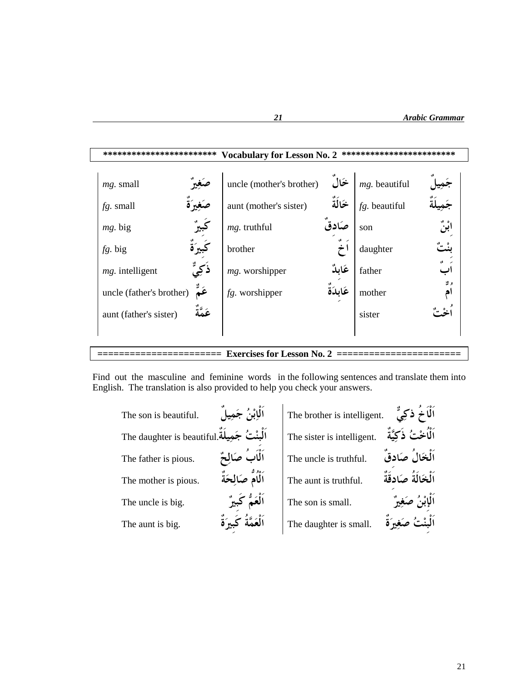| ************************<br>************************<br><b>Vocabulary for Lesson No. 2</b> |         |                          |          |                 |              |  |
|--------------------------------------------------------------------------------------------|---------|--------------------------|----------|-----------------|--------------|--|
| <i>mg.</i> small                                                                           |         | uncle (mother's brother) | خال      | $mg.$ beautiful |              |  |
| $fg.$ small                                                                                |         | aunt (mother's sister)   | خَالَةٌ  | $fg.$ beautiful |              |  |
| $mg.$ big                                                                                  |         | $mg.$ truthful           | صكادق    | son             | ابْنٌ        |  |
| $fg.$ big                                                                                  |         | brother                  |          | daughter        | ق پيو        |  |
| <i>mg.</i> intelligent                                                                     | ذكىّ    | mg. worshipper           | عَابِدٌ  | father          |              |  |
| uncle (father's brother)                                                                   | عَمّ    | fg. worshipper           | عَايدَةٌ | mother          | بو ٿئڻ<br>۱ھ |  |
| aunt (father's sister)                                                                     | عَمَّةٌ |                          |          | sister          |              |  |
|                                                                                            |         |                          |          |                 |              |  |
| <b>Exercises for Lesson No. 2</b>                                                          |         |                          |          |                 |              |  |

Find out the masculine and feminine words in the following sentences and translate them into English. The translation is also provided to help you check your answers.

| The son is beautiful.                           | ٱلْإِبْنُ جَمِيلَ    | The brother is intelligent. | اَلْاَخُ ذَكِيٌّ     |
|-------------------------------------------------|----------------------|-----------------------------|----------------------|
| The daughter is beautiful. اَلْمِنْتُ جَمِيلَةَ |                      | The sister is intelligent.  | اَلْمُحْتُ ذَكِيَّةٌ |
| The father is pious.                            | اَلْمَابُ صَالِحٌ    | The uncle is truthful.      | اَلْخَالُ صَادقٌ     |
| The mother is pious.                            | اَلْلُمُّ صَالِحَةٌ  | The aunt is truthful.       | اَلْخَالَةُ صَادقَةٌ |
| The uncle is big.                               | اَلْعَمُّ كَبِيرٌ    | The son is small.           | اَلْإِبْنُ صَغِيرٌ   |
| The aunt is big.                                | اَلْعَمَّةُ كَبيرَةَ | The daughter is small.      | اَلْمِنْتُ صَغِيرَةٌ |
|                                                 |                      |                             |                      |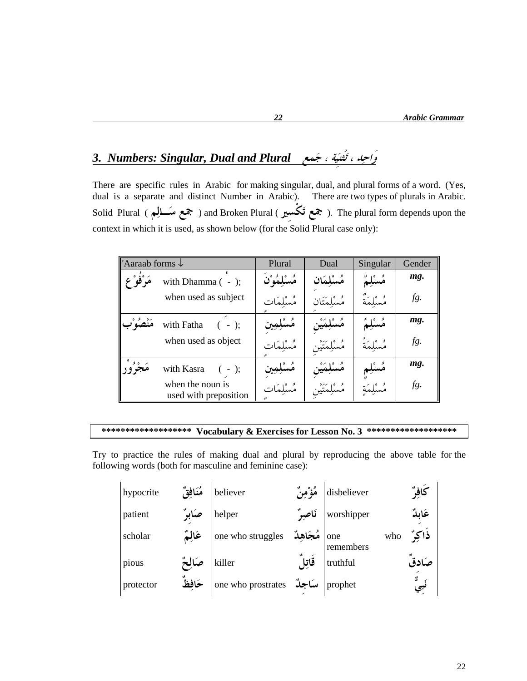# *3. Numbers: Singular, Dual and Plural* -

There are specific rules in Arabic for making singular, dual, and plural forms of a word. (Yes, dual is a separate and distinct Number in Arabic). There are two types of plurals in Arabic. Solid Plural ( جمع سَـــالِم ) and Broken Plural ( جمع تَكْسِير ). The plural form depends upon the context in which it is used, as shown below (for the Solid Plural case only):

| 'Aaraab forms $\downarrow$ |                                           | Plural     | Dual         | Singular | Gender |
|----------------------------|-------------------------------------------|------------|--------------|----------|--------|
| مرقق ع                     | with Dhamma $( - )$ ;                     |            | مُسْلَمَان   |          | mg.    |
|                            | when used as subject                      | مُسْلِمَات | مُسْلِمَتَان |          | fg.    |
|                            | with Fatha<br>$(-)$ ;                     |            |              |          | mg.    |
|                            | when used as object                       |            |              |          | fg.    |
| مَجْرُور                   | with Kasra<br>$(-)$ ;                     |            |              | مَسْيِم  | mg.    |
|                            | when the noun is<br>used with preposition |            |              |          | fg.    |

#### **\*\*\*\*\*\*\*\*\*\*\*\*\*\*\*\*\*\*\* Vocabulary & Exercises for Lesson No. 3 \*\*\*\*\*\*\*\*\*\*\*\*\*\*\*\*\*\*\***

Try to practice the rules of making dual and plural by reproducing the above table for the following words (both for masculine and feminine case):

| hypocrite | مُنَافَقٌ | believer           |           | disbeliever          | كَافُهُ ۖ     |
|-----------|-----------|--------------------|-----------|----------------------|---------------|
| patient   |           | helper             |           | worshipper           | عَابِدٌ       |
| scholar   | عَالِمٌ   | one who struggles  | مُجَاهِدٌ | $ $ one<br>remembers | ذاكه ٌ<br>who |
| pious     |           | killer             | قاتا      | truthful             |               |
| protector | حَافظ     | one who prostrates | سَاجِدٌ   | prophet              | نبي           |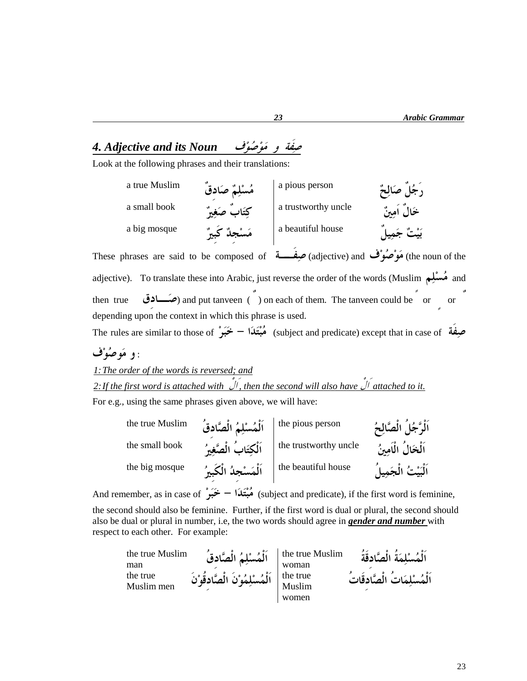#### *4. Adjective and its Noun*-و مَوْضُا تمة

Look at the following phrases and their translations:

a true Muslim a pious person رجُل صَالِحٌ a small book a trustworthy uncle خَالٌ اَمِينٌ a big mosque ت<sup>ر</sup> کبیرً  $\vert$  a beautiful house ر<br>بيْتٌ جَمياً ٌ These phrases are said to be composed of مِيفَقَّد (adjective) and مَبْشَقَة (the noun of the  $\sim$ adjective). To translate these into Arabic, just reverse the order of the words (Muslim  $\omega$  and then true  $\overrightarrow{a}$ ) and put tanveen ( $\overrightarrow{a}$ ) on each of them. The tanveen could be  $\overrightarrow{a}$  or or depending upon the context in which this phrase is used. The rules are similar to those of -- (subject and predicate) except that in case of ,B

: و مَوصُوْف

*1: The order of the words is reversed; and 2: If the first word is attached with* - *, then the second will also have* - *attached to it.* For e.g., using the same phrases given above, we will have:

| the true Muslim | اَلْمُسْلِمُ الْصَّادقُ | the pious person      | اَلْرَّجُلُ الْصَّالِحُ |
|-----------------|-------------------------|-----------------------|-------------------------|
| the small book  | اَلْكتَابُ الْصَّغِينُ  | the trustworthy uncle | اَلْخَالُ الْاَمِينُ    |
| the big mosque  | اَلْمَسْجِدُ الْكَبِيرُ | the beautiful house   | اَلْبَيْتُ الْجَمِيلُ   |

And remember, as in case of مُبْتَكَدًا  $-$  خَبَسٌ (subject and predicate), if the first word is feminine, the second should also be feminine. Further, if the first word is dual or plural, the second should also be dual or plural in number, i.e, the two words should agree in *gender and number* with respect to each other. For example:

the true Muslim the true Muslim nan (اَلْمُسْلِمُ الْصَّادِقُ man woman woman المُسْلِمَة الصَّادِقة the true the true<br>Muslim men | اَلْمُسْلِمُوْنَ الْصَّادِقُوْنَ | the true<br>| Muslim | Muslim Muslim women لْمُسْلمَاتُ الْصَّادقَاتُ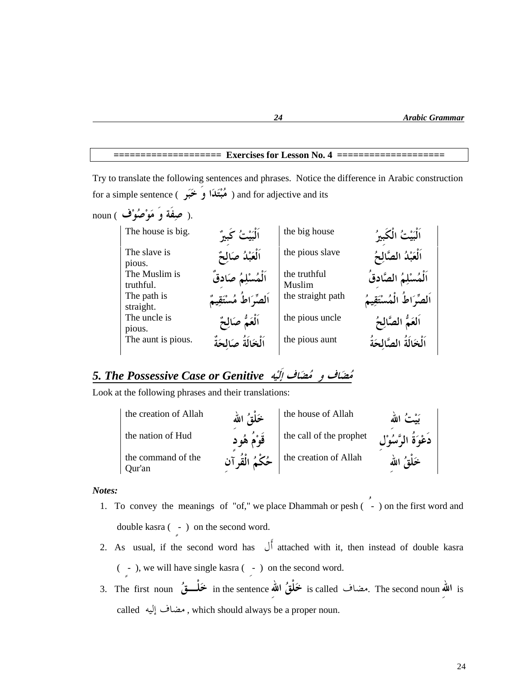#### **Exercises for Lesson No. 4 =**

Try to translate the following sentences and phrases. Notice the difference in Arabic construction for a simple sentence ( مُبْتَكَا و خَبَر ) and for adjective and its

| noun ( صِفة و مَوْصُوْف ). |                         |                        |                            |
|----------------------------|-------------------------|------------------------|----------------------------|
| The house is big.          | اَلْبَيْتُ كَبِيرٌ      | the big house          | اَلْبَيْتُ الْكَبِيرُ      |
| The slave is<br>pious.     | اَلْعَبْدُ صَالِحٌ      | the pious slave        | اَلْعَبْدُ الصَّالِحُ      |
| The Muslim is<br>truthful. | اَلْمُسْلِمُ صَادقٌ     | the truthful<br>Muslim | اَلْمُسْلِمُ الصَّادقُ     |
| The path is<br>straight.   | اَلصِّرَاطُ مُسْتَقِيمٌ | the straight path      | اَلصِّرَاطُ الْمُسْتَقِيمُ |
| The uncle is<br>pious.     | اَلْعَمُّ صَالِحٌ       | the pious uncle        | اَلْعَمُّ الْصَّالِحُ      |
| The aunt is pious.         | اَلْخَالَةُ صَالحَةٌ    | the pious aunt         | اَلْخَالَةُ الصَّالحَةُ    |
|                            |                         |                        |                            |

# <u>تحكاف و مُضاف إليه 5. The Possessive Case or Genitive</u>

Look at the following phrases and their translations:

| the creation of Allah        | خَلْقُ الله     | the house of Allah      |                     |
|------------------------------|-----------------|-------------------------|---------------------|
| the nation of Hud            | قَوْمُ هُو د    | the call of the prophet | دَعْوَةُ الرَّسُوْل |
| the command of the<br>Qur'an | حُكْمُ الْقُرآن | the creation of Allah   | خَلْقُ الله         |

#### *Notes:*

- 1. To convey the meanings of "of," we place Dhammah or pesh ( $\sim$ ) on the first word and double kasra ( $\frac{1}{2}$ ) on the second word.
- 2. As usual, if the second word has  $\int_{0}^{\frac{\pi}{2}}$  attached with it, then instead of double kasra  $( - )$ , we will have single kasra  $( - )$  on the second word.
- 3. The first noun فَعَلتَ in the sentence فَعَلقُ اللهِ is called فَعَلتَ is is is is called , which should always be a proper noun.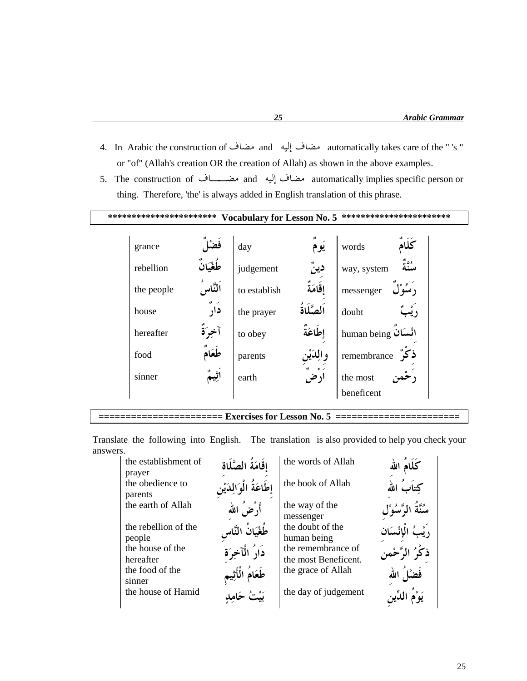- 4. In Arabic the construction of and automatically takes care of the " 's " or "of" (Allah's creation OR the creation of Allah) as shown in the above examples.
- 5. The construction of  and automatically implies specific person or thing. Therefore, 'the' is always added in English translation of this phrase.

| grance     | فضا       | day          | يوم       | كلام<br>words                       |
|------------|-----------|--------------|-----------|-------------------------------------|
| rebellion  | طُغْيَانٌ | judgement    | دينٌ      | ءسمه<br><b>ىسنىة</b><br>way, system |
| the people | اَلنَّاس  | to establish | إقَامَةٌ  | messenger                           |
| house      | 28<br>دار | the prayer   | امتَلَاةُ | doubt                               |
| hereafter  | أخرق      | to obey      | إطاعَةُ   | السكان human being                  |
| food       | طَعَامٌ   | parents      | والِدَيْن | remembrance                         |
| sinner     |           | earth        | ارض       | the most                            |
|            |           |              |           | beneficent                          |

 $==$  Exercises for Lesson No. 5  $=$ 

Translate the following into English. The translation is also provided to help you check your answers.

| the establishment of<br>prayer | إِقَامَةُ الصَّلَاة     | the words of Allah                         | كَلَاهُ الله       |
|--------------------------------|-------------------------|--------------------------------------------|--------------------|
| the obedience to<br>parents    | إطَاعَةُ الْوَالِدَيْنِ | the book of Allah                          | كتاَبُ الله        |
| the earth of Allah             | أَرْضُ الله             | the way of the<br>messenger                | سُنَّةُ الرَّسُوْل |
| the rebellion of the<br>people | طُغْيَانُ النَّاسِ      | the doubt of the<br>human being            | رَيْبُ الْإِنْسَان |
| the house of the<br>hereafter  | دَارُ الْآخِرَة         | the remembrance of<br>the most Beneficent. | ذكَرُ الرَّحْمن    |
| the food of the<br>sinner      | طَعَامُ الْأَثِيمِ      | the grace of Allah                         | فَضْأَ الله        |
| the house of Hamid             | ، حَامِدٍ               | the day of judgement                       |                    |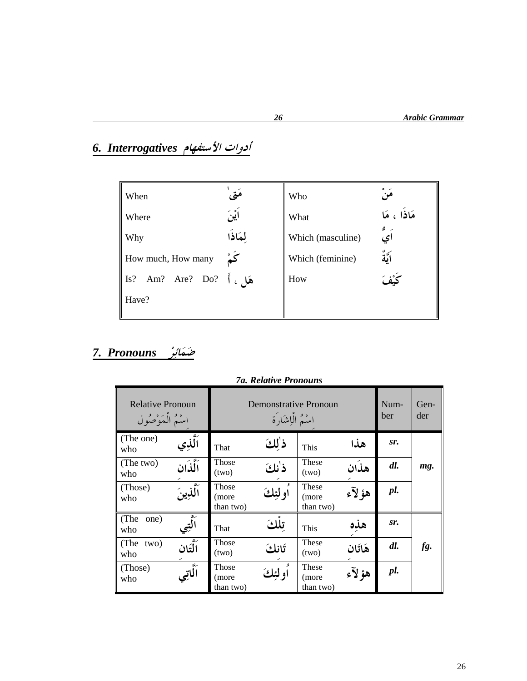#### <u>دوات الأستفهام 6. Interrogatives</u>  $\overline{\phantom{a}}$

| When                         | متی    | Who               | مى.         |
|------------------------------|--------|-------------------|-------------|
| Where                        | اُيْنَ | What              | مَاذا ، مَا |
| Why                          | لمكاذا | Which (masculine) | \$.<br>اي   |
| How much, How many           |        | Which (feminine)  | رَّةٌ       |
| Am? Are? Do? أَ , هَا<br>Is? |        | How               |             |
| Have?                        |        |                   |             |

## *مْ*تَمَائِرٌ *7. Pronouns*

| <b>Relative Pronoun</b><br>اسْمُ الْمَوْصُول |                |                             | <b>Demonstrative Pronoun</b><br>اسْمُ الْإِشَارَةِ |                             | Num-<br>ber | Gen-<br>der |     |
|----------------------------------------------|----------------|-----------------------------|----------------------------------------------------|-----------------------------|-------------|-------------|-----|
| (The one)<br>who                             | ٱلَّذِي        | That                        | ذٰلكَ                                              | <b>This</b>                 | هذا         | sr.         |     |
| (The two)<br>who                             | ٱلَّذَان       | <b>Those</b><br>(two)       | ذٰنكَ                                              | These<br>(two)              | هذان        | dl.         | mg. |
| (Those)<br>who                               | رنقا<br>الليين | Those<br>(more<br>than two) | او لئكَ                                            | These<br>(more<br>than two) | هؤ لآءِ     | pl.         |     |
| (The one)<br>who                             | رنقا<br>كتيى   | That                        | تلكَ                                               | This                        | هذه         | sr.         |     |
| (The two)<br>who                             | رنقا<br>التَان | Those<br>(two)              | تَانكَ                                             | These<br>(two)              | هَاتَان     | dl.         | fg. |
| (Those)<br>who                               | ىرىق<br>الماتى | Those<br>(more<br>than two) | $\mathcal{S}$<br>او لئكَ                           | These<br>(more<br>than two) | هؤ لآءِ     | pl.         |     |

*7a. Relative Pronouns*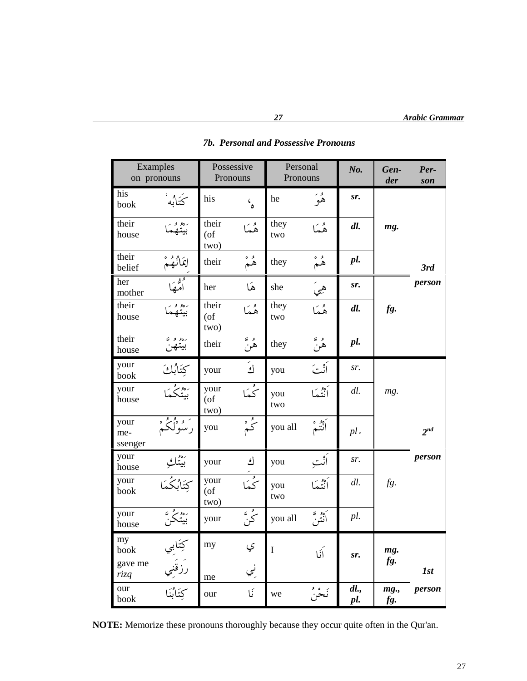|                        | Examples<br>on pronouns       | Possessive<br>Pronouns  |                      | Personal<br>Pronouns |                              | No.         | Gen-<br>der | Per-<br>son |
|------------------------|-------------------------------|-------------------------|----------------------|----------------------|------------------------------|-------------|-------------|-------------|
| his<br>book            | كَتَابُه ُ                    | his                     | $\zeta$              | he                   | هر                           | sr.         |             |             |
| their<br>house         | ره و ر<br>بيتهم               | their<br>(of<br>two)    | هْمَا                | they<br>two          | هْمَا                        | dl.         | mg.         |             |
| their<br>belief        | ٳۜڮؘٳ۠ٮؙٛۿؙ۠ۛ۫؋               | their                   | هه هم                | they                 | و ه<br>هم                    | pl.         |             | 3rd         |
| her<br>mother          | وو<br>امھا                    | her                     | هَا                  | she                  | هجيَ                         | sr.         |             | person      |
| their<br>house         | ره و ر<br>بيتھە               | their<br>$($ of<br>two) | هْمَا                | they<br>two          | هْمَا                        | dl.         | fg.         |             |
| their<br>house         | <sub>ره</sub> و و ته<br>بيتهن | their                   | و ته<br>هن           | they                 | و ته<br>هن                   | pl.         |             |             |
| your<br>book           | كِتَابُكَ                     | your                    | ڵ                    | you                  | أثتَ                         | sr.         |             |             |
| your<br>house          | رهوځ<br>بيتكما                | your<br>$($ of<br>two)  | بخميما               | you<br>two           | أنتعها                       | dl.         | mg.         |             |
| your<br>me-<br>ssenger | رَسُوْلُكُمْ                  | you                     | ءِ<br>کم             | you all              | أثبه ه                       | pl.         |             | $2^{nd}$    |
| your<br>house          | بيتكي                         | your                    | ك                    | you                  | أنْتِ                        | sr.         |             | person      |
| your<br>book           | كِتَابُكُمَ                   | your<br>(of<br>two)     | $\frac{1}{\sqrt{2}}$ | you<br>two           | أنتما                        | dl.         | fg.         |             |
| your<br>house          | ره گر<br>بیتکن                | your                    | و<br>کن              | you all              | أ <sup>هو به</sup> َ<br>أنتن | pl.         |             |             |
| my<br>book<br>gave me  |                               | my                      | ي                    | I                    | أنَا                         | sr.         | mg.<br>fg.  |             |
| rizq                   |                               | me                      | رىي                  |                      |                              |             |             | <b>1st</b>  |
| our<br>book            |                               | our                     | نَا                  | we                   | بر ۾ و<br>نحن                | dl.,<br>pl. | mg.,<br>fg. | person      |

### *7b. Personal and Possessive Pronouns*

**NOTE:** Memorize these pronouns thoroughly because they occur quite often in the Qur'an.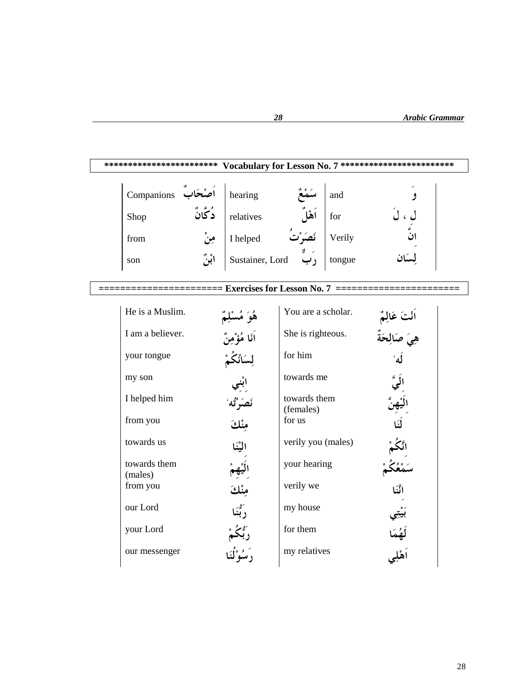|  | Companions صنحاب                                           | hearing               | and                       |                                 |  |  |  |  |  |
|--|------------------------------------------------------------|-----------------------|---------------------------|---------------------------------|--|--|--|--|--|
|  | دُكَّانٌ<br>Shop                                           | relatives             | أها<br>for                | ل ، لَ                          |  |  |  |  |  |
|  | مِنْ<br>from                                               | I helped              | نَصَدْر                   | انٌ<br>Verily                   |  |  |  |  |  |
|  | ابْنٌ<br>son                                               | Sustainer, Lord       | ر ٿئ<br>ر ب               | لسَان<br>tongue                 |  |  |  |  |  |
|  | $\equiv \equiv \equiv$ Exercises for Lesson No. 7 $\equiv$ |                       |                           |                                 |  |  |  |  |  |
|  | He is a Muslim.                                            | هُوَ مُسْلِ           | You are a scholar.        |                                 |  |  |  |  |  |
|  | I am a believer.                                           | اَنَا مُؤْمِنٌ        | She is righteous.         | انْتَ عَالِمٌ<br>هِيَ صَالِحَةٌ |  |  |  |  |  |
|  | your tongue                                                |                       | for him                   |                                 |  |  |  |  |  |
|  | my son                                                     | لِسَانُكُمْ<br>ابْنِي | towards me                | الَيُّ                          |  |  |  |  |  |
|  | I helped him                                               | نَصَرَكُه             | towards them<br>(females) |                                 |  |  |  |  |  |
|  | from you                                                   | منْكَ                 | for us                    |                                 |  |  |  |  |  |
|  | towards us                                                 | النكا                 | verily you (males)        |                                 |  |  |  |  |  |
|  | towards them<br>(males)                                    |                       | your hearing              |                                 |  |  |  |  |  |
|  | from you                                                   | مِنْكَ                | verily we                 | اٽَنا                           |  |  |  |  |  |
|  | our Lord                                                   |                       | my house                  |                                 |  |  |  |  |  |
|  | your Lord                                                  |                       | for them                  |                                 |  |  |  |  |  |
|  | our messenger                                              |                       | my relatives              |                                 |  |  |  |  |  |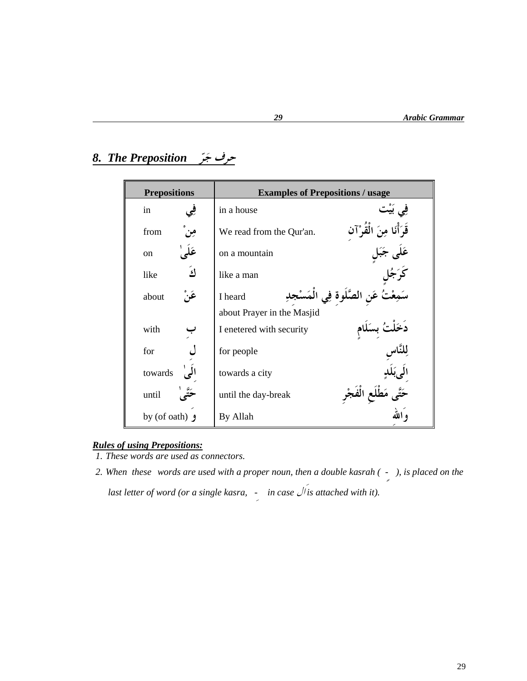## *8. The Preposition* &--

| <b>Prepositions</b>                  | <b>Examples of Prepositions / usage</b>               |  |  |  |  |
|--------------------------------------|-------------------------------------------------------|--|--|--|--|
| فچي<br>in                            | فِي بَيْت<br>in a house                               |  |  |  |  |
| مِن<br>from                          | قَرَأْنَا مِنَ الْقَرْآنِ<br>We read from the Qur'an. |  |  |  |  |
| عَل<br>on                            | عَلَى جَبَلٍ<br><sup>ج ک</sup> شا<br>on a mountain    |  |  |  |  |
| كَ<br>like                           | like a man                                            |  |  |  |  |
| عَنْ<br>about                        | عَنِ الصَّلَوة فِي المَسْجِدِ<br>I heard              |  |  |  |  |
|                                      | about Prayer in the Masjid                            |  |  |  |  |
| with                                 | I enetered with security                              |  |  |  |  |
| for                                  | for people                                            |  |  |  |  |
| towards                              | towards a city                                        |  |  |  |  |
| until                                | until the day-break                                   |  |  |  |  |
| by (of oath) $\overline{\mathbf{y}}$ | By Allah                                              |  |  |  |  |

#### *Rules of using Prepositions:*

- *1. These words are used as connectors.*
- *2. When these words are used with a proper noun, then a double kasrah ( - ), is placed on the last letter of word (or a single kasra, - in case*  $\bigcup$  *is attached with it).*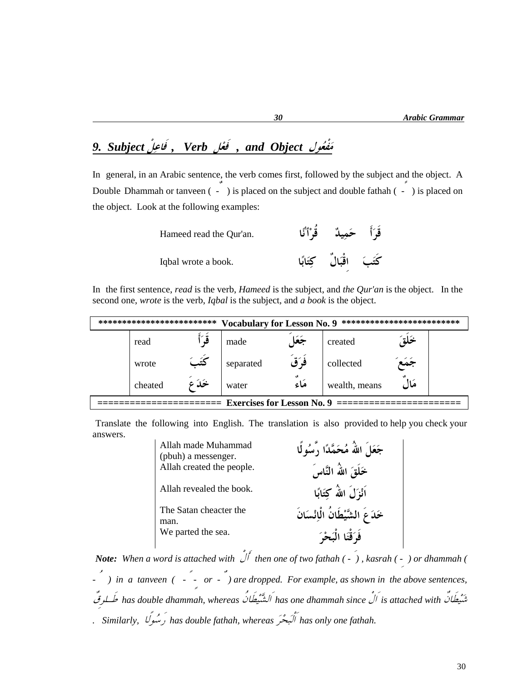#### *9. Subject* - *, Verb* -  *, and Object*

In general, in an Arabic sentence, the verb comes first, followed by the subject and the object. A Double Dhammah or tanveen ( - ) is placed on the subject and double fathah ( - ) is placed on the object. Look at the following examples:

| Hameed read the Qur'an. | قَرَأَ حَمِيدٌ قُرْأَنَا |  |
|-------------------------|--------------------------|--|
| Iqbal wrote a book.     | كَتَبَ اقْبَالٌ كِتَابًا |  |

In the first sentence, *read* is the verb, *Hameed* is the subject, and *the Qur'an* is the object. In the second one, *wrote* is the verb, *Iqbal* is the subject, and *a book* is the object.

|                                   | ************************* |      | <b>Vocabulary for Lesson No. 9</b> |           | ************************* |       |  |
|-----------------------------------|---------------------------|------|------------------------------------|-----------|---------------------------|-------|--|
|                                   | read                      |      | made                               | جعا       | created                   | خَلَة |  |
|                                   | wrote                     | تتد  | separated                          | ٯ         | collected                 |       |  |
|                                   | cheated                   | خک ع | water                              | ng<br>ماء | wealth, means             | هال   |  |
| <b>Exercises for Lesson No. 9</b> |                           |      |                                    |           |                           |       |  |

Translate the following into English. The translation is also provided to help you check your answers.

| Allah made Muhammad<br>(pbuh) a messenger. | جَعَلَ اللَّهُ مُحَمَّدًا رَّسُو لًا |
|--------------------------------------------|--------------------------------------|
| Allah created the people.                  | خَلَقَ اللهُ النَّاسَ                |
| Allah revealed the book.                   | اَنْزَلَ اللهُ كِتَابًا              |
| The Satan cheacter the<br>man.             | خَدَعَ الشَّيْطَانُ الْإِنْسَانَ     |
| We parted the sea.                         | فَرَقْنَا الْبَحْرَ                  |

*Note: When a word is attached with* - *then one of two fathah ( - ) , kasrah ( - ) or dhammah ( - ) in a tanveen ( - - or - ) are dropped. For example, as shown in the above sentences,*  - *has double dhammah, whereas*  - *has one dhammah since* - *is attached with*  - . *Similarly, <i>أَلْبَحْرَ has double fathah, whereas <sup>)</sup> <i>has only one fathah.*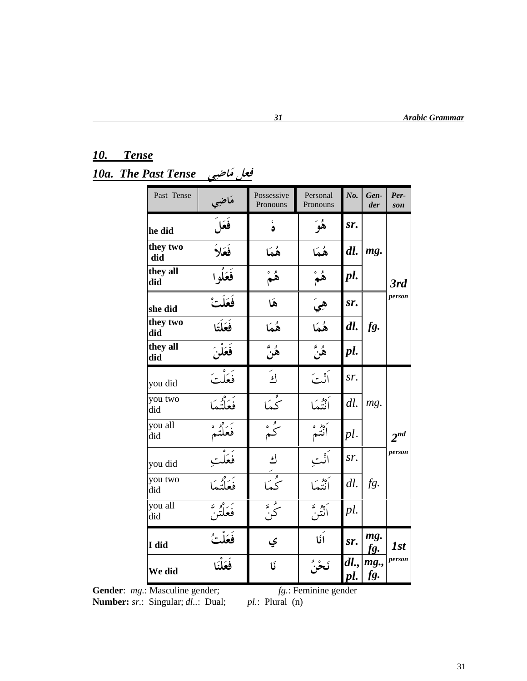# *10. Tense*

*10a. The Past Tense* - - 

| Past Tense      | مَاضِي                     | Possessive<br>Pronouns | Personal<br>Pronouns          | No. | Gen-<br>der        | Per-<br>son |
|-----------------|----------------------------|------------------------|-------------------------------|-----|--------------------|-------------|
| he did          | فَعَلَ                     | $\zeta$<br>٥           | هُوَ                          | sr. |                    |             |
| they two<br>did | فَعَلاَ                    | هُمَا                  | هُمَا                         | dl. | mg.                |             |
| they all<br>did | فَعَلُوا                   | ۿمُ                    | ۿمُ                           | pl. |                    | 3rd         |
| she did         | فَعَلَتْ                   | هَا                    | هيَ                           | sr. |                    | person      |
| they two<br>did | فَعَلْتَا                  | هُمَا                  | هُمَا                         | dl. | fg.                |             |
| they all<br>did | فَعَلْنَ                   | ۿڽٞ                    | ۿڽٞ                           | pl. |                    |             |
| you did         | فَعَلْتَ                   | ا<br>ك                 | أثتَ                          | sr. |                    |             |
| you two<br>did  | فَعَلْتُمَا                | م<br>کمکا              | أنتما                         | dl. | mg.                |             |
| you all<br>did  | رَ وُهِ هِ                 | ے<br>کم                | أب <sup>و ه</sup>             | pl. |                    | $2^{nd}$    |
| you did         | فَعَلْتِ                   | ائ                     | أثت                           | sr. |                    | person      |
| you two<br>did  | فَعَلْتُمَا                | ے۔<br>کما              | أنثما                         | dl. | fg.                |             |
| you all<br>did  | رَ وُهِ بَهَ<br>فَعَلْتُنَ | ء<br>کن                | <sub>اَ</sub> وَ مَعَ<br>انتس | pl. |                    |             |
| I did           | فَعَلْتُ                   | ي                      | أنَا                          | sr. | mg.<br>fg.         | 1st         |
| We did          | فَعَلْنَا                  | نَا                    | نَحْنُ                        | pl. | $dl.,$ mg.,<br>fg. | person      |

**Gender**: *mg.*: Masculine gender; *fg.*: Feminine gender **Number:** *sr.*: Singular; *dl..*: Dual; *pl.*: Plural (n)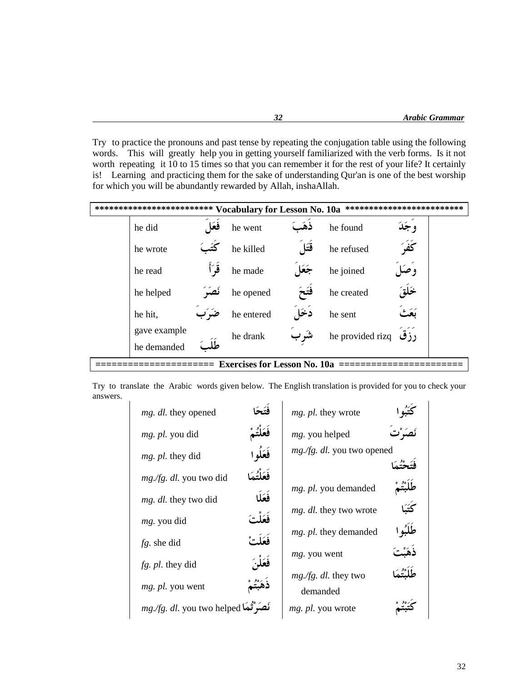Try to practice the pronouns and past tense by repeating the conjugation table using the following words. This will greatly help you in getting yourself familiarized with the verb forms. Is it not worth repeating it 10 to 15 times so that you can remember it for the rest of your life? It certainly is! Learning and practicing them for the sake of understanding Qur'an is one of the best worship for which you will be abundantly rewarded by Allah, inshaAllah.

| <b>Vocabulary for Lesson No. 10a</b><br>*************************<br>************************ |                             |        |                                     |       |                  |          |
|-----------------------------------------------------------------------------------------------|-----------------------------|--------|-------------------------------------|-------|------------------|----------|
|                                                                                               | he did                      | فعَا   | he went                             |       | he found         | و جَدَ   |
|                                                                                               | he wrote                    |        | he killed                           | قتا   | he refused       | كَفَرَ   |
|                                                                                               | he read                     | قْدَأَ | he made                             | جعا   | he joined        |          |
|                                                                                               | he helped                   |        | he opened                           | فتَحَ | he created       | خَلَقَہَ |
|                                                                                               | he hit,                     |        | he entered                          | دخا   | he sent          | ىَعَت    |
|                                                                                               | gave example<br>he demanded | - -    | he drank                            |       | he provided rizq | ر ز ق    |
|                                                                                               |                             |        | <b>Exercises for Lesson No. 10a</b> |       |                  |          |

Try to translate the Arabic words given below. The English translation is provided for you to check your answers.

| <i>mg. dl.</i> they opened                     | فئيجا      | mg. pl. they wrote               |                     |
|------------------------------------------------|------------|----------------------------------|---------------------|
| <i>mg. pl.</i> you did                         | فَعَلْتُمْ | mg. you helped                   |                     |
| <i>mg. pl.</i> they did                        | فَعَلْهِ ا | mg./fg. dl. you two opened       |                     |
| mg./fg. dl. you two did                        | فعَلْتُمَا |                                  |                     |
| <i>mg. dl.</i> they two did                    | فَعَلَا    | mg. pl. you demanded             | ىخچت                |
| <i>mg.</i> you did                             | فَعَلْتَ   | mg. dl. they two wrote           |                     |
| fg. she did                                    | فَعَلَتْ   | mg. pl. they demanded            |                     |
| <i>fg. pl.</i> they did                        | فَعَلْنَ   | mg. you went                     | $\cdot \frac{1}{2}$ |
| <i>mg. pl.</i> you went                        |            | mg./fg. dl. they two<br>demanded |                     |
| <i>img./fg. dl.</i> you two helped نَصَرْتُمَا |            | <i>mg. pl.</i> you wrote         |                     |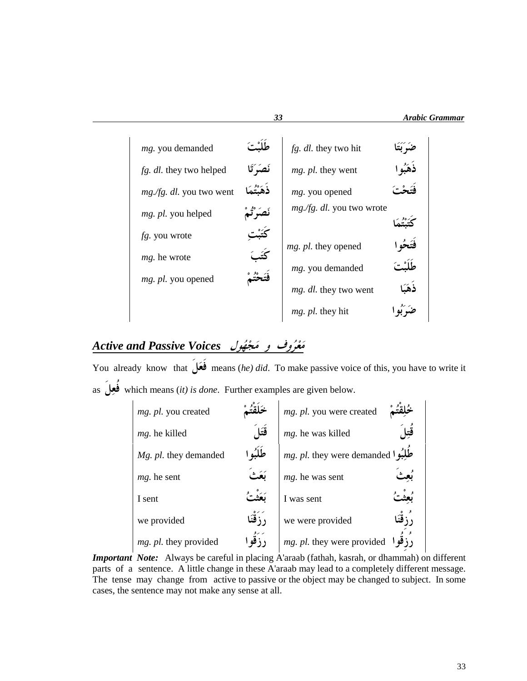#### *33 Arabic Grammar*



# *Active and Passive Voices*   ----

You already know that **(***he*) did. To make passive voice of this, you have to write it as which means (*it) is done*. Further examples are given below.

| mg. pl. you created          |         | mg. pl. you were created                           |     |
|------------------------------|---------|----------------------------------------------------|-----|
| mg. he killed                | قتا     | mg. he was killed                                  | قتا |
| Mg. pl. they demanded        | طلئه    | mg. pl. they were demanded $\frac{1}{2}$ طُلِبُو ا |     |
| <i>mg</i> . he sent          |         | mg. he was sent                                    |     |
| I sent                       |         | I was sent                                         |     |
| we provided                  | ۱ ; قنا | we were provided                                   |     |
| <i>mg. pl.</i> they provided | ، ز قه  | mg. pl. they were provided                         |     |

*Important Note:* Always be careful in placing A'araab (fathah, kasrah, or dhammah) on different parts of a sentence. A little change in these A'araab may lead to a completely different message. The tense may change from active to passive or the object may be changed to subject. In some cases, the sentence may not make any sense at all.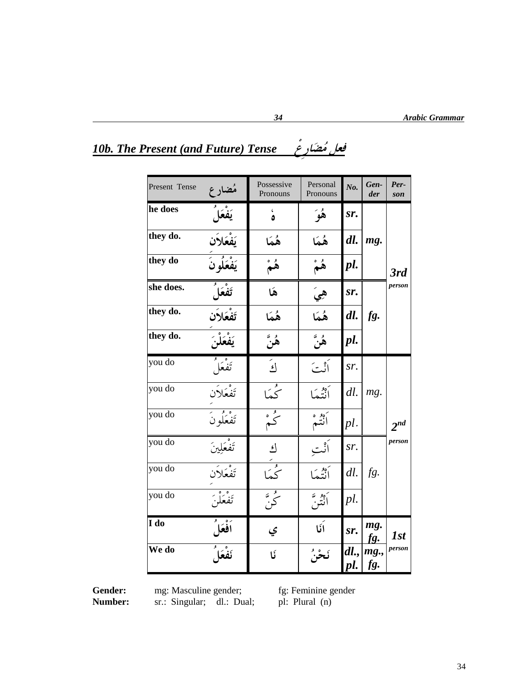#### *10b. The Present (and Future) Tense*  قعل مُد

| Present Tense | مُضارع       | Possessive<br>Pronouns  | Personal<br>Pronouns        | $N0$ . | Gen-<br>der          | Per-<br>son |
|---------------|--------------|-------------------------|-----------------------------|--------|----------------------|-------------|
| he does       | يَفْعَلُ     | ٥                       | ۿۅٞ                         | sr.    |                      |             |
| they do.      | يَفْعَلاَن   | هُمَا                   | هُمَا                       | dl.    | mg.                  |             |
| they do       | يَفْعَلُو نَ | ۿؠٛ                     | ۿؠ۠                         | pl.    |                      | 3rd         |
| she does.     | تَفْعَلُ     | هَا                     | هيَ                         | sr.    |                      | person      |
| they do.      | تَفْعَلاَن   | هُمَا                   | هُمَا                       | dl.    | fg.                  |             |
| they do.      | يَفْعَلْنَ   | ۿڽٞ                     | ۿڽٞ                         | pl.    |                      |             |
| you do        | تَفْعَلُ     | كُ                      | أثتَ                        | sr.    |                      |             |
| you do        | تَفْعَلاَن   | م<br>کمکا               | أنتيما                      | dl.    | mg.                  |             |
| you do        | قَفْعَلُونَ  | ا<br>کم                 | أثبتم                       | pl.    |                      | $2^{nd}$    |
| you do        | تَفْعَلِينَ  | $\overline{\mathbf{S}}$ | أثت                         | sr.    |                      | person      |
| you do        | ٙؿؘڡ۫ۘۼڸٳؘڹ  | ے۔<br>کما               | أقشما                       | dl.    | fg.                  |             |
| you do        | تَفْعَلْنَ   | ء<br>کن                 | أ <sup>ەوب</sup> ة<br>انتىن | pl.    |                      |             |
| I do          | ٱفْعَلُ      | ي                       | أنّا                        | sr.    | mg.<br>fg.           | <b>1st</b>  |
| We do         | نَفْعَا ُ    | ئا                      | نَحْنُ                      | pl.    | $dl.,$   mg.,<br>fg. | person      |

sr.: Singular; dl.: Dual;

**Gender:** mg: Masculine gender; fg: Feminine gender<br> **Number:** sr.: Singular; dl.: Dual; pl: Plural (n)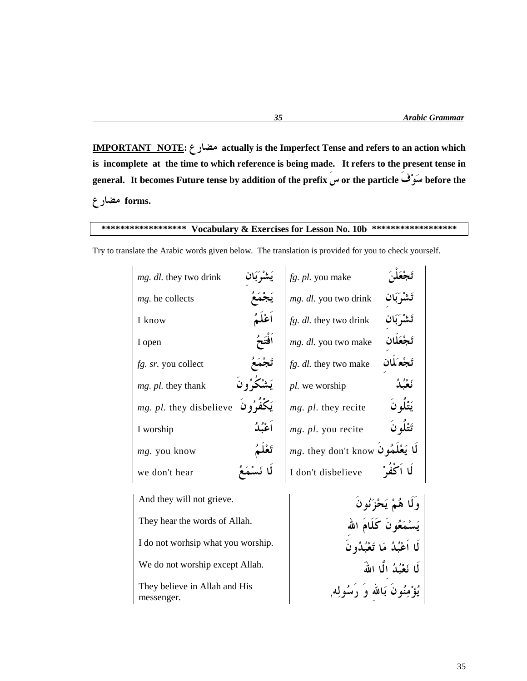**IMPORTANT NOTE:**  ; **actually is the Imperfect Tense and refers to an action which is incomplete at the time to which reference is being made. It refers to the present tense in general. It becomes Future tense by addition of the prefix or the particle** -! **before the** ; **forms.**

### \*\*\*\*\*\*\*\*\*\*\*\*\*\*\*\*\*\* Vocabulary & Exercises for Lesson No. 10b \*\*\*\*\*\*\*\*\*\*\*\*\*\*\*\*\*\*\*

| mg. dl. they two drink    | ىشە ئالا    | fg. pl. you make                    |                   |
|---------------------------|-------------|-------------------------------------|-------------------|
| mg. he collects           | بَجْمَ      | mg. dl. you two drink               | تَشَرَبَان        |
| I know                    | أغلُمُ      | fg. dl. they two drink              | تَشَرَبَالَ       |
| I open                    | اَفْتَحُ    | mg. dl. you two make                | تَحْعَلان         |
| fg. sr. you collect       | تَجْمَه     | fg. dl. they two make               | تَجْعَكان         |
| mg. pl. they thank        | ىشكە'و ن    | pl. we worship                      | ئعْنْدُ           |
| mg. pl. they disbelieve   | يَكْفَرُونَ | mg. pl. they recite                 | يَتْلَو نَ        |
| I worship                 | أعْبُدُ     | mg. pl. you recite                  | تَتْلَهِ نَ       |
| mg. you know              | تَعْلَمُ    | mg. they don't know لَا يَعْلَمُو ن |                   |
| we don't hear             |             | I don't disbelieve                  | لًا أَكْفُهُ ۖ    |
| And they will not grieve. |             |                                     | هُمْ يَحْزَٰنُو ن |

They hear the words of Allah. %- (

 $\rm I$  do not worhsip what you worship.  $\rm \dot{\tilde{S}}$ لَا اَعْبُدُ مَا تَعْبُدُونَ

We do not worship except Allah. %" 

They believe in Allah and His

messenger.

Try to translate the Arabic words given below. The translation is provided for you to check yourself.

يُؤْمِنُون بَاللهِ و رسُولِه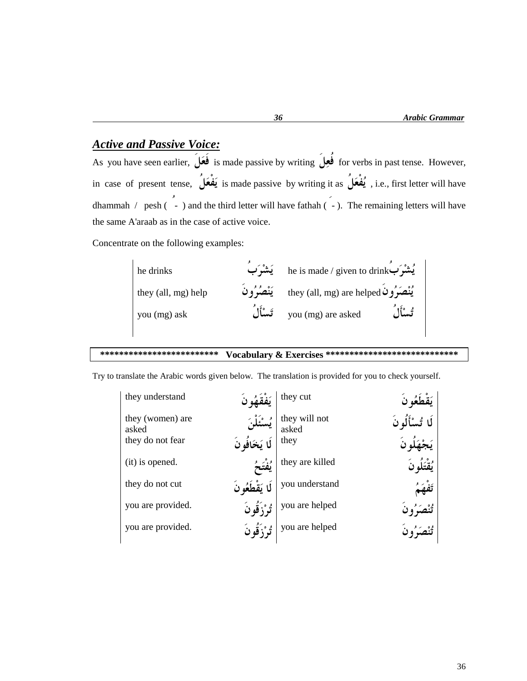### *Active and Passive Voice:*

As you have seen earlier,  is made passive by writing for verbs in past tense. However, in case of present tense, يُفْعَلُ is made passive by writing it as يُفْعَلُ , i.e., first letter will have dhammah /  $pesh$  ( $-$ ) and the third letter will have fathah ( $-$ ). The remaining letters will have the same A'araab as in the case of active voice.

Concentrate on the following examples:



**\*\*\*\*\*\*\*\*\*\*\*\*\*\*\*\*\*\*\*\*\*\*\*\*\* Vocabulary & Exercises \*\*\*\*\*\*\*\*\*\*\*\*\*\*\*\*\*\*\*\*\*\*\*\*\*\*\*\***

Try to translate the Arabic words given below. The translation is provided for you to check yourself.

| they understand           |               | they cut               | ىَقطعُە ن        |
|---------------------------|---------------|------------------------|------------------|
| they (women) are<br>asked |               | they will not<br>asked | لَا تُسْأَلُه نَ |
| they do not fear          |               | they                   |                  |
| (it) is opened.           |               | they are killed        |                  |
| they do not cut           | يَقْطَعُونَ   | you understand         | تَفْهَدُ         |
| you are provided.         | تُهُ وَقَا فَ | you are helped         |                  |
| you are provided.         |               | you are helped         |                  |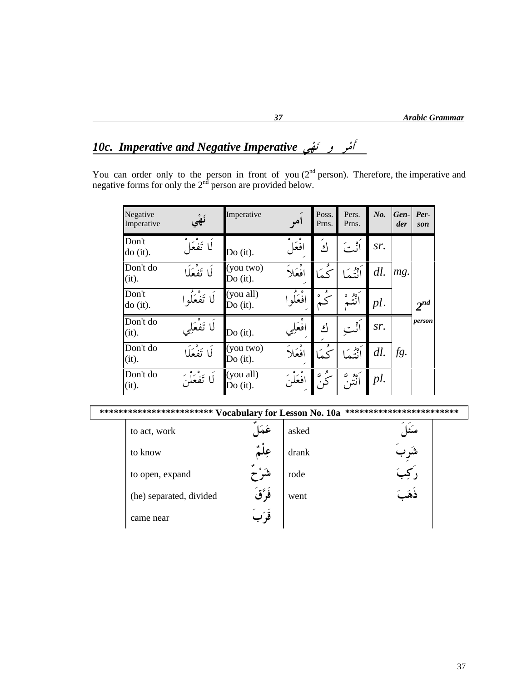# <u>- أُمُر و نَهُي IOc. Imperative and Negative Imperative</u>

You can order only to the person in front of you  $(2^{nd}$  person). Therefore, the imperative and negative forms for only the  $2<sup>nd</sup>$  person are provided below.

| Negative<br>Imperative | نهي           | Imperative               | امر      | Poss.<br>Prns. | Pers.<br>Prns.            | No. | Gen-<br>der | Per-<br>son |
|------------------------|---------------|--------------------------|----------|----------------|---------------------------|-----|-------------|-------------|
| Don't<br>$do$ (it).    | لَا تَفْعَا   | Do $(it)$ .              | افعًا    | ك              | اٽٽ                       | sr. |             |             |
| Don't do<br>(it).      | لَا تَفْعَلَا | (you two)<br>Do $(it)$ . | افعكلا   | я.<br>كمكا     | أثثما                     | dl. | mg.         |             |
| Don't<br>$do$ (it).    | لَا تَفْعَلُو | (you all)<br>Do $(it)$ . | افْعَلوا | ۰              |                           | pl. |             | $2^{nd}$    |
| Don't do<br>(it).      | لَا تَفعَا    | Do $(it)$ .              | افعَلِي  | ك              |                           | sr. |             | person      |
| Don't do<br>(it).      | لَا تَفْعَلَا | (you two)<br>Do $(it)$ . | افعكا    | я.<br>كمكا     | أبقم                      | dl. | fg.         |             |
| Don't do<br>(it).      | لـا تَفعَلىنَ | (you all)<br>$Do$ (it).  | افعَلمَ  | ىك             | <sub>ک</sub> ہو ته<br>انت | pl. |             |             |

**\*\*\*\*\*\*\*\*\*\*\*\*\*\*\*\*\*\*\*\*\*\*\*\* Vocabulary for Lesson No. 10a \*\*\*\*\*\*\*\*\*\*\*\*\*\*\*\*\*\*\*\*\*\*\*\***

| to act, work            | z<br>عَمَا                       | asked |  |
|-------------------------|----------------------------------|-------|--|
| to know                 | $\frac{1}{2}$                    | drank |  |
| to open, expand         | zg                               | rode  |  |
| (he) separated, divided | د<br>و تقوی <sup>د</sup><br>قو ق | went  |  |
| came near               |                                  |       |  |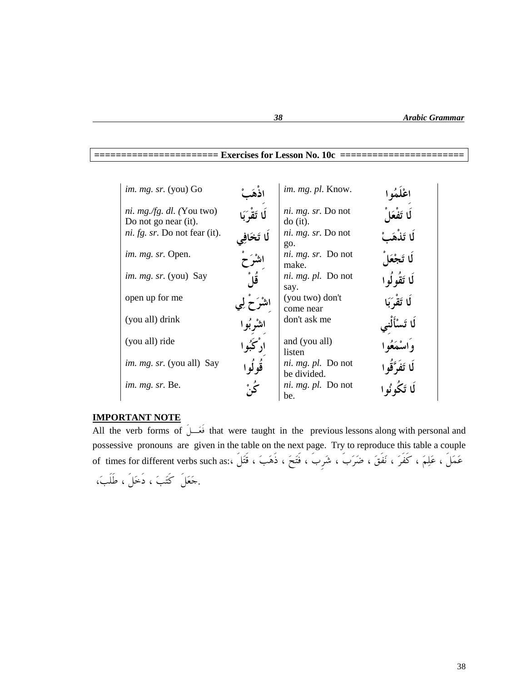**Exercises for Lesson No. 10c ===** 

| im. mg. sr. (you) Go                              |               | im. mg. pl. Know.                         |                |
|---------------------------------------------------|---------------|-------------------------------------------|----------------|
| ni. mg./fg. dl. (You two)<br>Do not go near (it). | لَا تَقْرَبَا | <i>ni. mg. sr.</i> Do not<br>$\phi$ (it). | لَا تَفْعَا    |
| <i>ni. fg. sr.</i> Do not fear (it).              | ﺎ ﺗَﺨَﺎﻓ      | <i>ni. mg. sr.</i> Do not<br>go.          | لَا تَذْهَبْ   |
| im. mg. sr. Open.                                 |               | <i>ni. mg. sr.</i> Do not<br>make.        | لا تَجْعَا     |
| <i>im. mg. sr.</i> (you) Say                      | قا            | <i>ni. mg. pl.</i> Do not<br>say.         | لًا تَقْولُوا  |
| open up for me                                    |               | (you two) don't<br>come near              | لًا تَقْرَبَا  |
| (you all) drink                                   |               | don't ask me                              | لا تَسْأَلن    |
| (you all) ride                                    |               | and (you all)<br>listen                   | وابشقعُو       |
| im. mg. sr. (you all) Say                         | قُو لُو ا     | ni. mg. pl. Do not<br>be divided.         | لَا تَفَوَّقُه |
| <i>im. mg. sr. Be.</i>                            |               | ni. mg. pl. Do not<br>be.                 | تكە ئە         |

### **IMPORTANT NOTE**

All the verb forms of that were taught in the previous lessons along with personal and possessive pronouns are given in the table on the next page. Try to reproduce this table a couple عَمَل ، عَلِمَ ، كَفَرَ ، نَفقَ ، ضَرَب ، شَرب ، فَتَحَ ، ذهَبَ ، قَتَل ،:of times for different verbs such as .<br>. جَعَلَ كَتَبَ ، دَخَلَ ، طَلَبَ،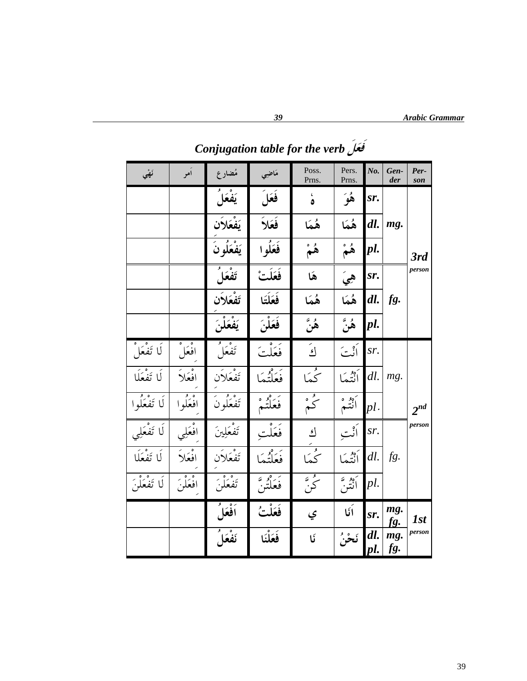| نَهْي          | أمر       | مُضارع       | مَاضِي       | Poss.<br>Prns.                  | Pers.<br>Prns.              | $N0$ .     | Gen-<br>der | Per-<br>son |
|----------------|-----------|--------------|--------------|---------------------------------|-----------------------------|------------|-------------|-------------|
|                |           | يَفْعَلُ     | فَعَلَ       | $\overset{\leftarrow}{\bullet}$ | ۿۅٞ                         | sr.        |             |             |
|                |           | يَفْعَلاَن   | فَعَلاَ      | هُمَا                           | هُمَا                       | dl.        | mg.         |             |
|                |           | يَفْعَلُو نَ | فَعَلُوا     | ۿمٌ                             | ۿمُ                         | pl.        |             | 3rd         |
|                |           | تَفْعَلُ     | فَعَلَتْ     | هَا                             | هيَ                         | sr.        |             | person      |
|                |           | تفعَلان      | فَعَلْتَا    | هُمَا                           | هُمَا                       | dl.        | fg.         |             |
|                |           | يَفْعَلْنَ   | فَعَلْنَ     | ۿڽٞ                             | هرة                         | pl.        |             |             |
| لَا تَفْعَلْ   | افْعَلْ   | تَفْعَلُ     | فَعَلْتَ     | $\mathbf{r}$                    | أثتَ                        | sr.        |             |             |
| لَا تَفْعَلَا  | افْعَلاَ  | تَفْعَلاَن   | فَعَلْتُمَا  | ر<br>کھکا                       | أنتما                       | dl.        | mg.         |             |
| لَا تَفْعَلُوا | أفعلوا    | تَفْعَلُونَ  | فَعَلْتُمْ   | ے<br>کم                         | أنتم                        | pl.        |             | $2^{nd}$    |
| لَا تَفْعَلِي  | أفْعَلِي  | تَفْعَلِينَ  | فَعَلْتِ     | ای                              | أنْتِ                       | sr.        |             | person      |
| لَا تَفْعَلَا  | افْعَلاَ  | تَفْعَلاَن   | فَعَلْتُمَا  | ے۔<br>کما                       | أنتعكا                      | dl.        | fg.         |             |
| لَا تَفْعَلْنَ | افْعَلَنَ | تَفْعَلْنَ   | وَعَمَلْتُنَ | ءِ<br>کن                        | <sub>اَ</sub> وو ته<br>انتن | pl.        |             |             |
|                |           | ٱفْعَلُ      | فَعَلْتُ     | ي                               | أنَا                        | sr.        | mg.<br>fg.  | <b>1st</b>  |
|                |           | نَفْعَلُ     | فَعَلْنَا    | نَا                             | نَحْنُ                      | dl.<br>pl. | mg.<br>fg.  | person      |

*Conjugation table for the verb* -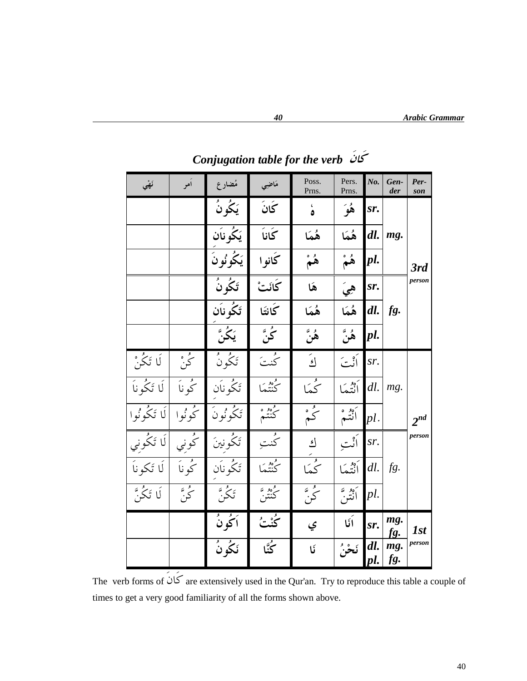| نَهْي         | أمر        | مُضارع         | مَاضِي                                | Poss.<br>Prns.                  | Pers.<br>Prns.            | No.        | Gen-<br>der | Per-<br>son |
|---------------|------------|----------------|---------------------------------------|---------------------------------|---------------------------|------------|-------------|-------------|
|               |            | يَكُونُ        | كَانَ                                 | $\overset{\leftarrow}{\bullet}$ | هُوَ                      | sr.        |             |             |
|               |            | يَكُونَان      | كَاناً                                | هُمَا                           | هُمَا                     | dl.        | mg.         |             |
|               |            | يَكُونُونَ     | كانوا                                 | ۿؠ۠                             | ۿؠٛ                       | pl.        |             | 3rd         |
|               |            | تَكُونُ        | كَانَتْ                               | هَا                             | هِيَ                      | sr.        |             | person      |
|               |            | تَكُوناَن      | كَانتَا                               | هُمَا                           | هُمَا                     | dl.        | fg.         |             |
|               |            | ۘؠؘۣػؙڽؓ       | ػؙؾٞ                                  | ۿڽٞ                             | ۿؙڹٞ                      | pl.        |             |             |
| لَا تَكُنُّ   | ۔<br>کن    | تَكُونُ        | ۔<br>کنتَ                             | $\tilde{\mathcal{L}}$           | أثتَ                      | sr.        |             |             |
| لَا تَكُونَا  | ۔<br>کوناَ | تَكُونَان      | ڭتىما                                 | تخميما                          | أنتيما                    | dl.        | mg.         |             |
| لَا تَكُونُوا | کُونُوا    | تَكُوْنُونَ    | ځ <sub><sup>هو ه</sup><br/>کنتم</sub> | گره<br>کم                       | أنتم                      | pl.        |             | $2^{nd}$    |
| لَا تَكُوني   | ۔<br>کوني  | ۔<br>تَكُونينَ | ۔<br>کنتِ                             | ائ                              | أنْتِ                     | sr.        |             | person      |
| لَا تَكوناً   | ۔<br>کوناَ | ۔<br>تَكُونَان | ے<br>کنتما                            | ے۔<br>کمکا                      | أنتمما                    | dl.        | fg.         |             |
| لَا تَكُنَّ   | ۔<br>کن ً  | تَكُنَّ        | م <sup>ق</sup> ور ته<br>کنتن          | مځ <sup>پ</sup> ه<br>کن         | أ <sup>ەوب</sup><br>انتىن | pl.        |             |             |
|               |            | اَکُونُ        | ڭچىت                                  | ي                               | أنَا                      | sr.        | mg.<br>fg.  | <b>1st</b>  |
|               |            | نَكُونُ        | ڭتا                                   | نَا                             | نَحْنُ                    | dl.<br>pl. | mg.<br>fg.  | person      |

*Conjugation table for the verb*  

The verb forms of  $\tilde{c}$  are extensively used in the Qur'an. Try to reproduce this table a couple of times to get a very good familiarity of all the forms shown above.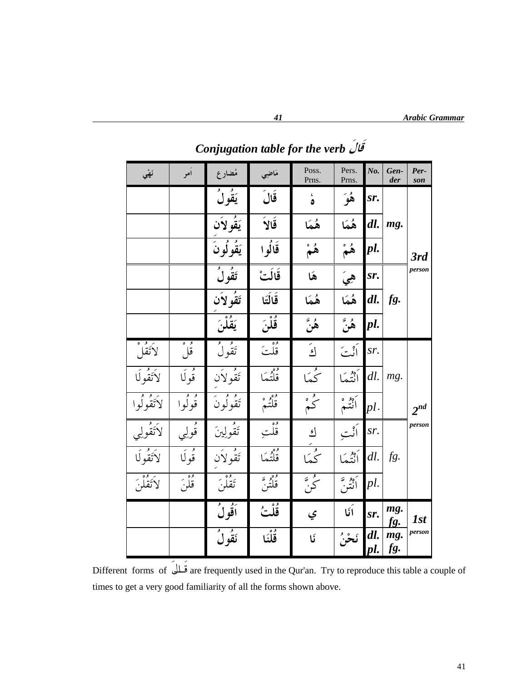| ئىٹى        | أمر        | مُضارع     | مَاضِي                    | Poss.<br>Prns.                  | Pers.<br>Prns.                    | No.        | Gen-<br>der | Per-<br>son |
|-------------|------------|------------|---------------------------|---------------------------------|-----------------------------------|------------|-------------|-------------|
|             |            | يَقُولُ    | قَالَ                     | $\overset{\leftarrow}{\bullet}$ | هُوَ                              | sr.        |             |             |
|             |            | يَقُولاَن  | قالاً                     | هُمَا                           | هُمَا                             | dl.        | mg.         |             |
|             |            | يَقَولُونَ | قَالُوا                   | ۿمٌ                             | ۿؠٛ                               | pl.        |             | 3rd         |
|             |            | تَقُولُ    | قَالَتْ                   | هَا                             | هِيَ                              | sr.        |             | person      |
|             |            | تَقُو لاَن | قَالَتَا                  | هُمَا                           | هُمَا                             | dl.        | $fg$ .      |             |
|             |            | ۘؠؘقُلْنَ  | قْلْنَ                    | ۿڽٞ                             | هُنَّ                             | pl.        |             |             |
| لأتقل       | قل         | تقولُ      | قلتَ                      | اُگُ                            | أثتَ                              | sr.        |             |             |
| لأتَقُولَا  | قولًا      | تَقُولاَن  | قلقيما                    | تحميما                          | أنتعكا                            | dl.        | mg.         |             |
| لأتَقُولُوا | قولُوا     | تَقُولُونَ | قره<br>قلتم               | $\sum_{k=1}^{\infty}$           | أنتم                              | pl.        |             | $2^{nd}$    |
| لأتَقُولِي  | و<br>قولي  | تَقُولِينَ | قلتِ                      | ائ                              | انْتِ                             | sr.        |             | person      |
| لأَتَقُولَا | قُولَا     | تَقُولاَن  | قلقما                     | ر<br>کھکا                       | أنتعكا                            | dl.        | fg.         |             |
| لأتَقْلُنَ  | وه<br>قلنَ | تَقَلْنَ   | ق <sub>قوية</sub><br>قلتن | ءِ<br>کن                        | <sub>اً</sub> و ته<br><b>انتن</b> | pl.        |             |             |
|             |            | ٱقُولُ     | قُلْتُ                    | ي                               | أنّا                              | sr.        | mg.<br>fg.  | 1st         |
|             |            | نَقُولُ    | قُلْنَا                   | ئا                              | نَحْنُ                            | dl.<br>pl. | mg.<br>fg.  | person      |

*Conjugation table for the verb*  

Different forms of are frequently used in the Qur'an. Try to reproduce this table a couple of times to get a very good familiarity of all the forms shown above.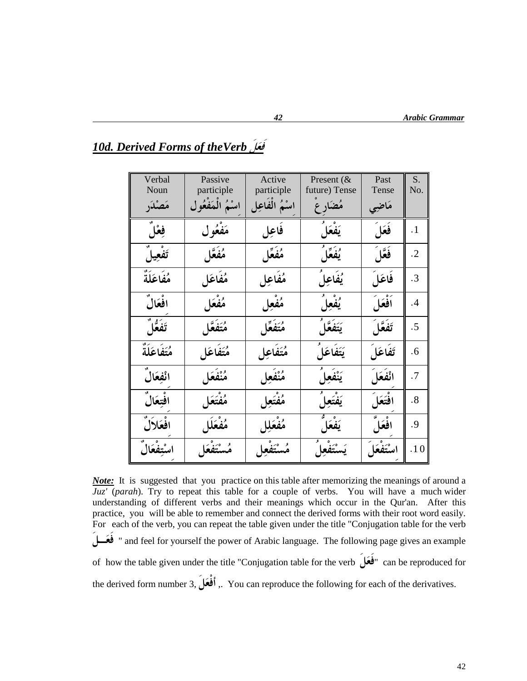| Verbal        | Passive           | Active          | Present $(\&$ | Past        | S.                      |
|---------------|-------------------|-----------------|---------------|-------------|-------------------------|
| Noun          | participle        | participle      | future) Tense | Tense       | No.                     |
| مَصْلَدَر     | اسْمُ الْمَفْعُول | اسْمُ الْفَاعِل | مُضَارِع      | ماضي        |                         |
| فِعْلٌ        | مَفْعُول          | فَاعِل          | يَفْعَلُ      | فَعَلَ      | $\cdot$ 1               |
| تفعيل         | مُفَعَّل          | مُفَعِّل        | ؽؙڣۘۼۜٙڷۘ     | فَعَّلَ     | $\cdot$ 2               |
| هُفَاعَلَةٌ   | مُفَاعَل          | مُفَاعِل        | يُفَاعِلُ     | فاعَل       | $\cdot$ 3               |
| افْعَالٌ      | مُفْعَل           | مُفْعِل         | يُفْعِلُ      | اَفْعَلَ    | .4                      |
| تَفَعُّلُ     | مُتَفَعَّل        | مُتَفَعَّل      | يَتَفَعَّلُ   | تَفَعَّلَ   | .5                      |
| مُتَفَاعَلَةً | مُتَفَاعَل        | مُتَفَاعِل      | يَتَفَاعَلُ   | تفاعَلَ     | .6                      |
| انْفِعَالٌ    | مُنْفَعَل         | مُنْفَعِل       | يَنْفَعِلُ    | انْفَعَلَ   | .7                      |
| افْتِعَالٌ    | مُفْتَعَل         | مُفْتَعِل       | يَفْتَعِلُ    | افْتَعَلَ   | $\overline{\mathbf{8}}$ |
| افْعَلاَلٌ    | مُفْعَلَل         | مُفْعَلِل       | يَفْعَلَ      | افْعَلَّ    | .9                      |
| اسْتفْعَالَ   | مُسْتَفْعَل       | مُسْتَفْعِل     | ۘؽڛ۠ؾۘڡٚڡؚڸۘ  | اسْتَفْعَلَ | .10                     |

### *10d. Derived Forms of theVerb* -

**Note:** It is suggested that you practice on this table after memorizing the meanings of around a *Juz'* (*parah*). Try to repeat this table for a couple of verbs. You will have a much wider understanding of different verbs and their meanings which occur in the Qur'an. After this practice, you will be able to remember and connect the derived forms with their root word easily. For each of the verb, you can repeat the table given under the title "Conjugation table for the verb  " and feel for yourself the power of Arabic language. The following page gives an example of how the table given under the title "Conjugation table for the verb "فَعَلْ can be reproduced for the derived form number 3, أَفْعَلَ, You can reproduce the following for each of the derivatives.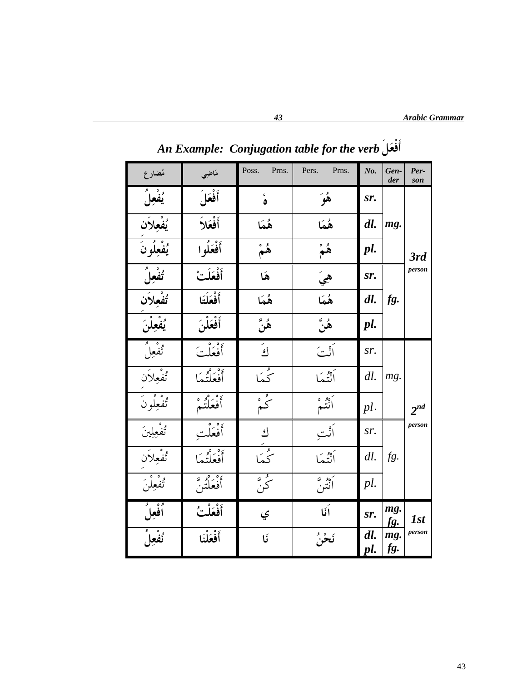| مُضارع            | مَاضِي        | Poss.<br>Prns.             | Pers.<br>Prns.                     | No.        | Gen-<br>der   | Per-<br>son |
|-------------------|---------------|----------------------------|------------------------------------|------------|---------------|-------------|
| مُفْعِلُ          | أَفْعَلَ      | $\overset{\circ}{\bullet}$ | ۿؙۅٞ                               | sr.        |               |             |
| يُفْعِلاَن        | أَفْعَلاَ     | هُمَا                      | هُمَا                              | dl.        | mg.           |             |
| يَفْعِلُونَ       | أَفْعَلُو ا   | ۿمْ                        | ۿمُ                                | pl.        |               | 3rd         |
| تُفْعِلُ          | أَفْعَلَتْ    | هَا                        | هيَ                                | sr.        |               | person      |
| تُفْعِلاَن        | أَفْعَلْتَا   | هُمَا                      | هُمَا                              | dl.        | fg.           |             |
| يُفْعِلْنَ        | أَفْعَلْنَ    | ۿڹٞ                        | ۿڽٞ                                | pl.        |               |             |
| وه و <sup>و</sup> | أَفْعَلْتَ    | ارَ<br>اگ                  | أثتَ                               | sr.        |               |             |
| تُفْعِلاَن        | أفْعَلْتُمَا  | ر<br>كىما                  | أنتيما                             | dl.        | mg.           |             |
| و.<br>تُفْعِلُونَ | أَفْعَلْتُمْ  | ء<br>کم                    | أبعره                              | pl.        |               | $2^{nd}$    |
| تفعِلينَ          | أَفْعَلْتِ    | ای                         | أثت                                | sr.        |               | person      |
| تُفْعِلاَن        | أفْعَلْتِعَا  | ے۔<br>کما                  | أبقيما                             | dl.        | fg.           |             |
| تُفْعِلْنَ        | أَفْعَلْتُنَّ | مځ ته<br>کن                | <sub>اً</sub> دو به<br><b>انتن</b> | pl.        |               |             |
| أفْعِلُ           | أَفْعَلْتُ    | ي                          | أنَا                               | sr.        | mg.<br>fg.    | <b>1st</b>  |
| نْفْعِلُ          | أَفْعَلْنَا   | ئا                         | نَحْنُ                             | dl.<br>pl. | mg.<br>$fg$ . | person      |

*An Example: Conjugation table for the verb*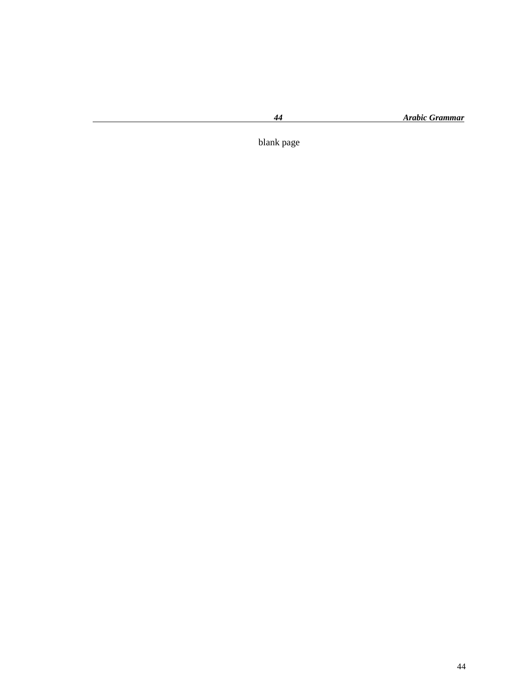*44 Arabic Grammar*

blank page